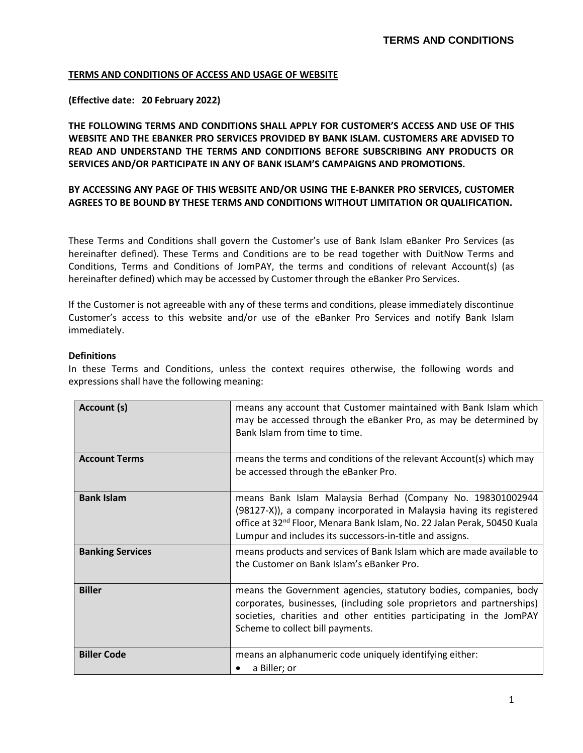### **TERMS AND CONDITIONS OF ACCESS AND USAGE OF WEBSITE**

### **(Effective date: 20 February 2022)**

**THE FOLLOWING TERMS AND CONDITIONS SHALL APPLY FOR CUSTOMER'S ACCESS AND USE OF THIS WEBSITE AND THE EBANKER PRO SERVICES PROVIDED BY BANK ISLAM. CUSTOMERS ARE ADVISED TO READ AND UNDERSTAND THE TERMS AND CONDITIONS BEFORE SUBSCRIBING ANY PRODUCTS OR SERVICES AND/OR PARTICIPATE IN ANY OF BANK ISLAM'S CAMPAIGNS AND PROMOTIONS.**

### **BY ACCESSING ANY PAGE OF THIS WEBSITE AND/OR USING THE E-BANKER PRO SERVICES, CUSTOMER AGREES TO BE BOUND BY THESE TERMS AND CONDITIONS WITHOUT LIMITATION OR QUALIFICATION.**

These Terms and Conditions shall govern the Customer's use of Bank Islam eBanker Pro Services (as hereinafter defined). These Terms and Conditions are to be read together with DuitNow Terms and Conditions, Terms and Conditions of JomPAY, the terms and conditions of relevant Account(s) (as hereinafter defined) which may be accessed by Customer through the eBanker Pro Services.

If the Customer is not agreeable with any of these terms and conditions, please immediately discontinue Customer's access to this website and/or use of the eBanker Pro Services and notify Bank Islam immediately.

### **Definitions**

In these Terms and Conditions, unless the context requires otherwise, the following words and expressions shall have the following meaning:

| Account (s)             | means any account that Customer maintained with Bank Islam which<br>may be accessed through the eBanker Pro, as may be determined by<br>Bank Islam from time to time.                                                                                                                  |
|-------------------------|----------------------------------------------------------------------------------------------------------------------------------------------------------------------------------------------------------------------------------------------------------------------------------------|
| <b>Account Terms</b>    | means the terms and conditions of the relevant Account(s) which may<br>be accessed through the eBanker Pro.                                                                                                                                                                            |
| <b>Bank Islam</b>       | means Bank Islam Malaysia Berhad (Company No. 198301002944<br>(98127-X)), a company incorporated in Malaysia having its registered<br>office at 32 <sup>nd</sup> Floor, Menara Bank Islam, No. 22 Jalan Perak, 50450 Kuala<br>Lumpur and includes its successors-in-title and assigns. |
| <b>Banking Services</b> | means products and services of Bank Islam which are made available to<br>the Customer on Bank Islam's eBanker Pro.                                                                                                                                                                     |
| <b>Biller</b>           | means the Government agencies, statutory bodies, companies, body<br>corporates, businesses, (including sole proprietors and partnerships)<br>societies, charities and other entities participating in the JomPAY<br>Scheme to collect bill payments.                                   |
| <b>Biller Code</b>      | means an alphanumeric code uniquely identifying either:<br>a Biller; or                                                                                                                                                                                                                |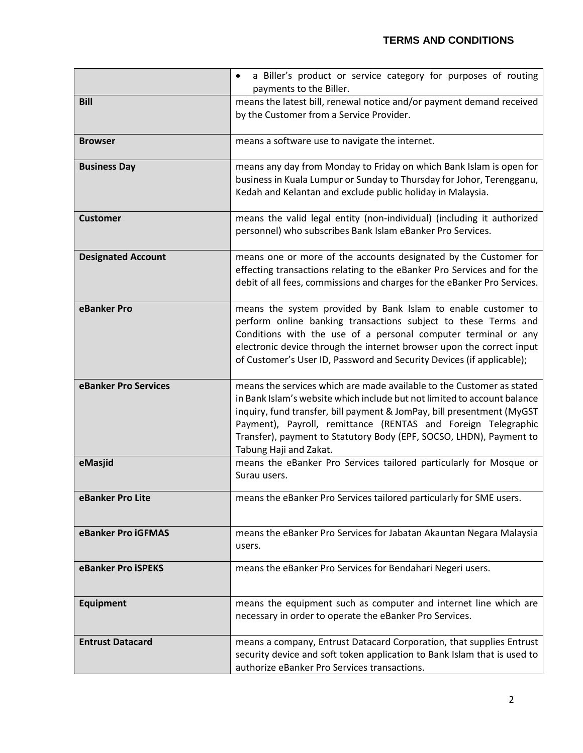|                           | a Biller's product or service category for purposes of routing<br>$\bullet$<br>payments to the Biller.                                                                                                                                                                                                                                                                                        |
|---------------------------|-----------------------------------------------------------------------------------------------------------------------------------------------------------------------------------------------------------------------------------------------------------------------------------------------------------------------------------------------------------------------------------------------|
| <b>Bill</b>               | means the latest bill, renewal notice and/or payment demand received                                                                                                                                                                                                                                                                                                                          |
|                           | by the Customer from a Service Provider.                                                                                                                                                                                                                                                                                                                                                      |
| <b>Browser</b>            | means a software use to navigate the internet.                                                                                                                                                                                                                                                                                                                                                |
| <b>Business Day</b>       | means any day from Monday to Friday on which Bank Islam is open for<br>business in Kuala Lumpur or Sunday to Thursday for Johor, Terengganu,<br>Kedah and Kelantan and exclude public holiday in Malaysia.                                                                                                                                                                                    |
|                           |                                                                                                                                                                                                                                                                                                                                                                                               |
| <b>Customer</b>           | means the valid legal entity (non-individual) (including it authorized<br>personnel) who subscribes Bank Islam eBanker Pro Services.                                                                                                                                                                                                                                                          |
| <b>Designated Account</b> | means one or more of the accounts designated by the Customer for<br>effecting transactions relating to the eBanker Pro Services and for the<br>debit of all fees, commissions and charges for the eBanker Pro Services.                                                                                                                                                                       |
| eBanker Pro               | means the system provided by Bank Islam to enable customer to<br>perform online banking transactions subject to these Terms and<br>Conditions with the use of a personal computer terminal or any<br>electronic device through the internet browser upon the correct input<br>of Customer's User ID, Password and Security Devices (if applicable);                                           |
| eBanker Pro Services      | means the services which are made available to the Customer as stated<br>in Bank Islam's website which include but not limited to account balance<br>inquiry, fund transfer, bill payment & JomPay, bill presentment (MyGST<br>Payment), Payroll, remittance (RENTAS and Foreign Telegraphic<br>Transfer), payment to Statutory Body (EPF, SOCSO, LHDN), Payment to<br>Tabung Haji and Zakat. |
| eMasjid                   | means the eBanker Pro Services tailored particularly for Mosque or<br>Surau users.                                                                                                                                                                                                                                                                                                            |
| eBanker Pro Lite          | means the eBanker Pro Services tailored particularly for SME users.                                                                                                                                                                                                                                                                                                                           |
| eBanker Pro iGFMAS        | means the eBanker Pro Services for Jabatan Akauntan Negara Malaysia<br>users.                                                                                                                                                                                                                                                                                                                 |
| eBanker Pro iSPEKS        | means the eBanker Pro Services for Bendahari Negeri users.                                                                                                                                                                                                                                                                                                                                    |
| <b>Equipment</b>          | means the equipment such as computer and internet line which are<br>necessary in order to operate the eBanker Pro Services.                                                                                                                                                                                                                                                                   |
| <b>Entrust Datacard</b>   | means a company, Entrust Datacard Corporation, that supplies Entrust<br>security device and soft token application to Bank Islam that is used to<br>authorize eBanker Pro Services transactions.                                                                                                                                                                                              |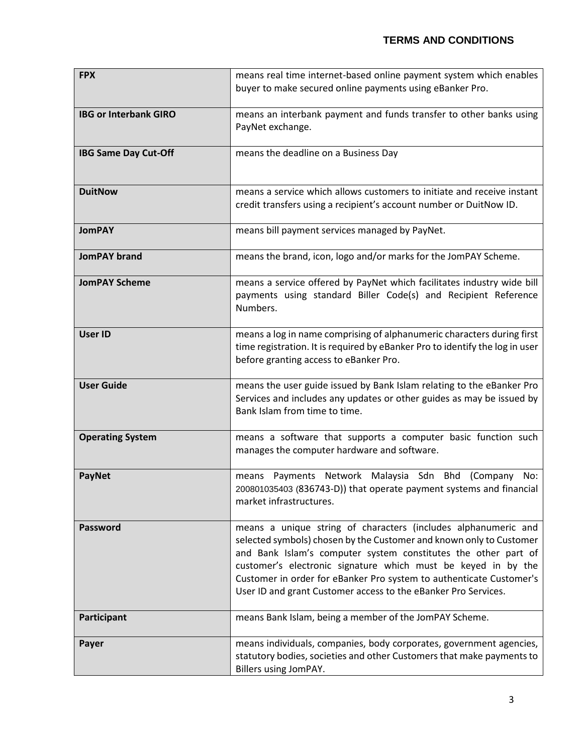| <b>FPX</b>                   | means real time internet-based online payment system which enables                             |
|------------------------------|------------------------------------------------------------------------------------------------|
|                              | buyer to make secured online payments using eBanker Pro.                                       |
|                              |                                                                                                |
| <b>IBG or Interbank GIRO</b> | means an interbank payment and funds transfer to other banks using                             |
|                              | PayNet exchange.                                                                               |
|                              |                                                                                                |
| <b>IBG Same Day Cut-Off</b>  | means the deadline on a Business Day                                                           |
|                              |                                                                                                |
|                              |                                                                                                |
| <b>DuitNow</b>               | means a service which allows customers to initiate and receive instant                         |
|                              | credit transfers using a recipient's account number or DuitNow ID.                             |
|                              |                                                                                                |
| <b>JomPAY</b>                | means bill payment services managed by PayNet.                                                 |
|                              |                                                                                                |
| <b>JomPAY brand</b>          | means the brand, icon, logo and/or marks for the JomPAY Scheme.                                |
| <b>JomPAY Scheme</b>         | means a service offered by PayNet which facilitates industry wide bill                         |
|                              | payments using standard Biller Code(s) and Recipient Reference                                 |
|                              | Numbers.                                                                                       |
|                              |                                                                                                |
| <b>User ID</b>               | means a log in name comprising of alphanumeric characters during first                         |
|                              | time registration. It is required by eBanker Pro to identify the log in user                   |
|                              | before granting access to eBanker Pro.                                                         |
|                              |                                                                                                |
| <b>User Guide</b>            | means the user guide issued by Bank Islam relating to the eBanker Pro                          |
|                              | Services and includes any updates or other guides as may be issued by                          |
|                              | Bank Islam from time to time.                                                                  |
|                              |                                                                                                |
| <b>Operating System</b>      | means a software that supports a computer basic function such                                  |
|                              | manages the computer hardware and software.                                                    |
|                              |                                                                                                |
| <b>PayNet</b>                | Payments Network Malaysia Sdn Bhd (Company<br>No:<br>means                                     |
|                              | 200801035403 (836743-D)) that operate payment systems and financial<br>market infrastructures. |
|                              |                                                                                                |
| Password                     | means a unique string of characters (includes alphanumeric and                                 |
|                              | selected symbols) chosen by the Customer and known only to Customer                            |
|                              | and Bank Islam's computer system constitutes the other part of                                 |
|                              | customer's electronic signature which must be keyed in by the                                  |
|                              | Customer in order for eBanker Pro system to authenticate Customer's                            |
|                              | User ID and grant Customer access to the eBanker Pro Services.                                 |
|                              |                                                                                                |
| Participant                  | means Bank Islam, being a member of the JomPAY Scheme.                                         |
|                              |                                                                                                |
| Payer                        | means individuals, companies, body corporates, government agencies,                            |
|                              | statutory bodies, societies and other Customers that make payments to                          |
|                              | Billers using JomPAY.                                                                          |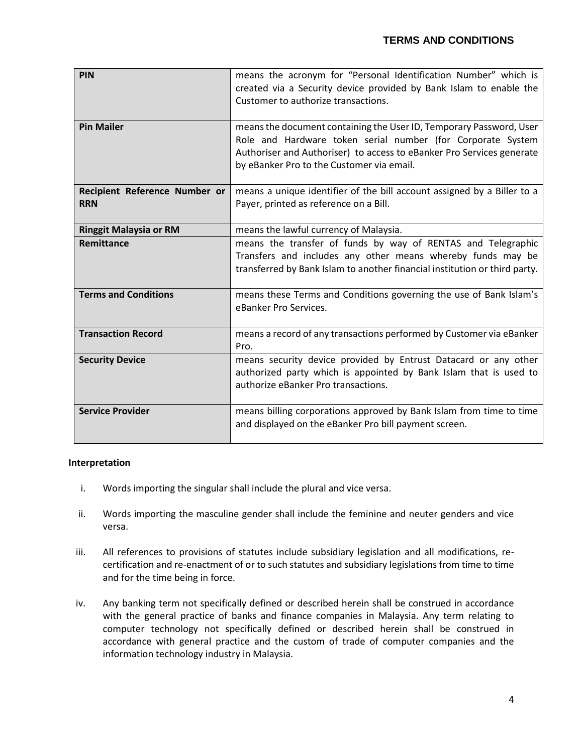| PIN                                         | means the acronym for "Personal Identification Number" which is<br>created via a Security device provided by Bank Islam to enable the<br>Customer to authorize transactions.                                                                             |
|---------------------------------------------|----------------------------------------------------------------------------------------------------------------------------------------------------------------------------------------------------------------------------------------------------------|
| <b>Pin Mailer</b>                           | means the document containing the User ID, Temporary Password, User<br>Role and Hardware token serial number (for Corporate System<br>Authoriser and Authoriser) to access to eBanker Pro Services generate<br>by eBanker Pro to the Customer via email. |
| Recipient Reference Number or<br><b>RRN</b> | means a unique identifier of the bill account assigned by a Biller to a<br>Payer, printed as reference on a Bill.                                                                                                                                        |
| <b>Ringgit Malaysia or RM</b>               | means the lawful currency of Malaysia.                                                                                                                                                                                                                   |
| Remittance                                  | means the transfer of funds by way of RENTAS and Telegraphic<br>Transfers and includes any other means whereby funds may be<br>transferred by Bank Islam to another financial institution or third party.                                                |
| <b>Terms and Conditions</b>                 | means these Terms and Conditions governing the use of Bank Islam's<br>eBanker Pro Services.                                                                                                                                                              |
| <b>Transaction Record</b>                   | means a record of any transactions performed by Customer via eBanker<br>Pro.                                                                                                                                                                             |
| <b>Security Device</b>                      | means security device provided by Entrust Datacard or any other<br>authorized party which is appointed by Bank Islam that is used to<br>authorize eBanker Pro transactions.                                                                              |
| <b>Service Provider</b>                     | means billing corporations approved by Bank Islam from time to time<br>and displayed on the eBanker Pro bill payment screen.                                                                                                                             |

### **Interpretation**

- i. Words importing the singular shall include the plural and vice versa.
- ii. Words importing the masculine gender shall include the feminine and neuter genders and vice versa.
- iii. All references to provisions of statutes include subsidiary legislation and all modifications, recertification and re-enactment of or to such statutes and subsidiary legislations from time to time and for the time being in force.
- iv. Any banking term not specifically defined or described herein shall be construed in accordance with the general practice of banks and finance companies in Malaysia. Any term relating to computer technology not specifically defined or described herein shall be construed in accordance with general practice and the custom of trade of computer companies and the information technology industry in Malaysia.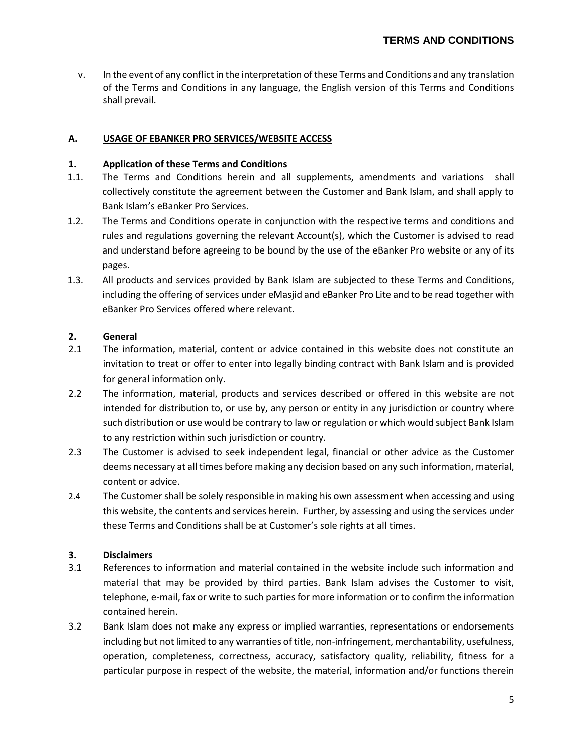v. In the event of any conflict in the interpretation of these Terms and Conditions and any translation of the Terms and Conditions in any language, the English version of this Terms and Conditions shall prevail.

### **A. USAGE OF EBANKER PRO SERVICES/WEBSITE ACCESS**

#### **1. Application of these Terms and Conditions**

- 1.1. The Terms and Conditions herein and all supplements, amendments and variations shall collectively constitute the agreement between the Customer and Bank Islam, and shall apply to Bank Islam's eBanker Pro Services.
- 1.2. The Terms and Conditions operate in conjunction with the respective terms and conditions and rules and regulations governing the relevant Account(s), which the Customer is advised to read and understand before agreeing to be bound by the use of the eBanker Pro website or any of its pages.
- 1.3. All products and services provided by Bank Islam are subjected to these Terms and Conditions, including the offering of services under eMasjid and eBanker Pro Lite and to be read together with eBanker Pro Services offered where relevant.

### **2. General**

- 2.1 The information, material, content or advice contained in this website does not constitute an invitation to treat or offer to enter into legally binding contract with Bank Islam and is provided for general information only.
- 2.2 The information, material, products and services described or offered in this website are not intended for distribution to, or use by, any person or entity in any jurisdiction or country where such distribution or use would be contrary to law or regulation or which would subject Bank Islam to any restriction within such jurisdiction or country.
- 2.3 The Customer is advised to seek independent legal, financial or other advice as the Customer deems necessary at all times before making any decision based on any such information, material, content or advice.
- 2.4 The Customer shall be solely responsible in making his own assessment when accessing and using this website, the contents and services herein. Further, by assessing and using the services under these Terms and Conditions shall be at Customer's sole rights at all times.

### **3. Disclaimers**

- 3.1 References to information and material contained in the website include such information and material that may be provided by third parties. Bank Islam advises the Customer to visit, telephone, e-mail, fax or write to such parties for more information or to confirm the information contained herein.
- 3.2 Bank Islam does not make any express or implied warranties, representations or endorsements including but not limited to any warranties of title, non-infringement, merchantability, usefulness, operation, completeness, correctness, accuracy, satisfactory quality, reliability, fitness for a particular purpose in respect of the website, the material, information and/or functions therein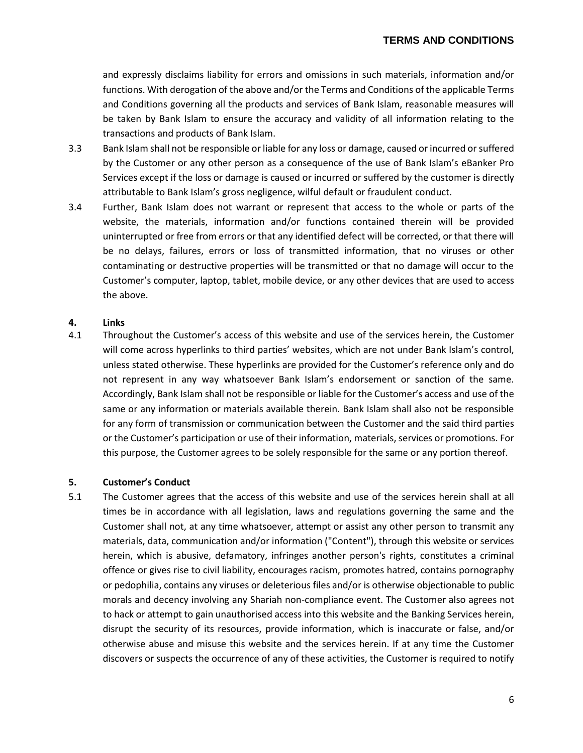and expressly disclaims liability for errors and omissions in such materials, information and/or functions. With derogation of the above and/or the Terms and Conditions of the applicable Terms and Conditions governing all the products and services of Bank Islam, reasonable measures will be taken by Bank Islam to ensure the accuracy and validity of all information relating to the transactions and products of Bank Islam.

- 3.3 Bank Islam shall not be responsible or liable for any loss or damage, caused or incurred or suffered by the Customer or any other person as a consequence of the use of Bank Islam's eBanker Pro Services except if the loss or damage is caused or incurred or suffered by the customer is directly attributable to Bank Islam's gross negligence, wilful default or fraudulent conduct.
- 3.4 Further, Bank Islam does not warrant or represent that access to the whole or parts of the website, the materials, information and/or functions contained therein will be provided uninterrupted or free from errors or that any identified defect will be corrected, or that there will be no delays, failures, errors or loss of transmitted information, that no viruses or other contaminating or destructive properties will be transmitted or that no damage will occur to the Customer's computer, laptop, tablet, mobile device, or any other devices that are used to access the above.

#### **4. Links**

4.1 Throughout the Customer's access of this website and use of the services herein, the Customer will come across hyperlinks to third parties' websites, which are not under Bank Islam's control, unless stated otherwise. These hyperlinks are provided for the Customer's reference only and do not represent in any way whatsoever Bank Islam's endorsement or sanction of the same. Accordingly, Bank Islam shall not be responsible or liable for the Customer's access and use of the same or any information or materials available therein. Bank Islam shall also not be responsible for any form of transmission or communication between the Customer and the said third parties or the Customer's participation or use of their information, materials, services or promotions. For this purpose, the Customer agrees to be solely responsible for the same or any portion thereof.

#### **5. Customer's Conduct**

5.1 The Customer agrees that the access of this website and use of the services herein shall at all times be in accordance with all legislation, laws and regulations governing the same and the Customer shall not, at any time whatsoever, attempt or assist any other person to transmit any materials, data, communication and/or information ("Content"), through this website or services herein, which is abusive, defamatory, infringes another person's rights, constitutes a criminal offence or gives rise to civil liability, encourages racism, promotes hatred, contains pornography or pedophilia, contains any viruses or deleterious files and/or is otherwise objectionable to public morals and decency involving any Shariah non-compliance event. The Customer also agrees not to hack or attempt to gain unauthorised access into this website and the Banking Services herein, disrupt the security of its resources, provide information, which is inaccurate or false, and/or otherwise abuse and misuse this website and the services herein. If at any time the Customer discovers or suspects the occurrence of any of these activities, the Customer is required to notify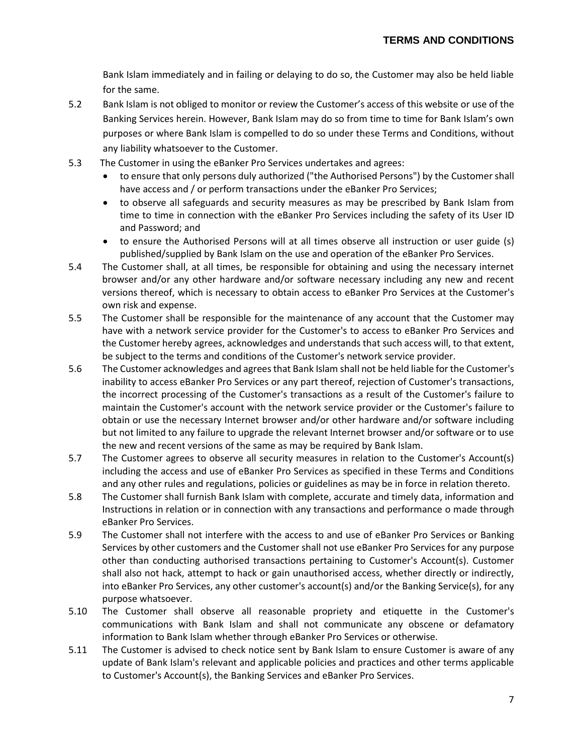Bank Islam immediately and in failing or delaying to do so, the Customer may also be held liable for the same.

- 5.2 Bank Islam is not obliged to monitor or review the Customer's access of this website or use of the Banking Services herein. However, Bank Islam may do so from time to time for Bank Islam's own purposes or where Bank Islam is compelled to do so under these Terms and Conditions, without any liability whatsoever to the Customer.
- 5.3 The Customer in using the eBanker Pro Services undertakes and agrees:
	- to ensure that only persons duly authorized ("the Authorised Persons") by the Customer shall have access and / or perform transactions under the eBanker Pro Services;
	- to observe all safeguards and security measures as may be prescribed by Bank Islam from time to time in connection with the eBanker Pro Services including the safety of its User ID and Password; and
	- to ensure the Authorised Persons will at all times observe all instruction or user guide (s) published/supplied by Bank Islam on the use and operation of the eBanker Pro Services.
- 5.4 The Customer shall, at all times, be responsible for obtaining and using the necessary internet browser and/or any other hardware and/or software necessary including any new and recent versions thereof, which is necessary to obtain access to eBanker Pro Services at the Customer's own risk and expense.
- 5.5 The Customer shall be responsible for the maintenance of any account that the Customer may have with a network service provider for the Customer's to access to eBanker Pro Services and the Customer hereby agrees, acknowledges and understands that such access will, to that extent, be subject to the terms and conditions of the Customer's network service provider.
- 5.6 The Customer acknowledges and agreesthat Bank Islam shall not be held liable for the Customer's inability to access eBanker Pro Services or any part thereof, rejection of Customer's transactions, the incorrect processing of the Customer's transactions as a result of the Customer's failure to maintain the Customer's account with the network service provider or the Customer's failure to obtain or use the necessary Internet browser and/or other hardware and/or software including but not limited to any failure to upgrade the relevant Internet browser and/or software or to use the new and recent versions of the same as may be required by Bank Islam.
- 5.7 The Customer agrees to observe all security measures in relation to the Customer's Account(s) including the access and use of eBanker Pro Services as specified in these Terms and Conditions and any other rules and regulations, policies or guidelines as may be in force in relation thereto.
- 5.8 The Customer shall furnish Bank Islam with complete, accurate and timely data, information and Instructions in relation or in connection with any transactions and performance o made through eBanker Pro Services.
- 5.9 The Customer shall not interfere with the access to and use of eBanker Pro Services or Banking Services by other customers and the Customer shall not use eBanker Pro Services for any purpose other than conducting authorised transactions pertaining to Customer's Account(s). Customer shall also not hack, attempt to hack or gain unauthorised access, whether directly or indirectly, into eBanker Pro Services, any other customer's account(s) and/or the Banking Service(s), for any purpose whatsoever.
- 5.10 The Customer shall observe all reasonable propriety and etiquette in the Customer's communications with Bank Islam and shall not communicate any obscene or defamatory information to Bank Islam whether through eBanker Pro Services or otherwise.
- 5.11 The Customer is advised to check notice sent by Bank Islam to ensure Customer is aware of any update of Bank Islam's relevant and applicable policies and practices and other terms applicable to Customer's Account(s), the Banking Services and eBanker Pro Services.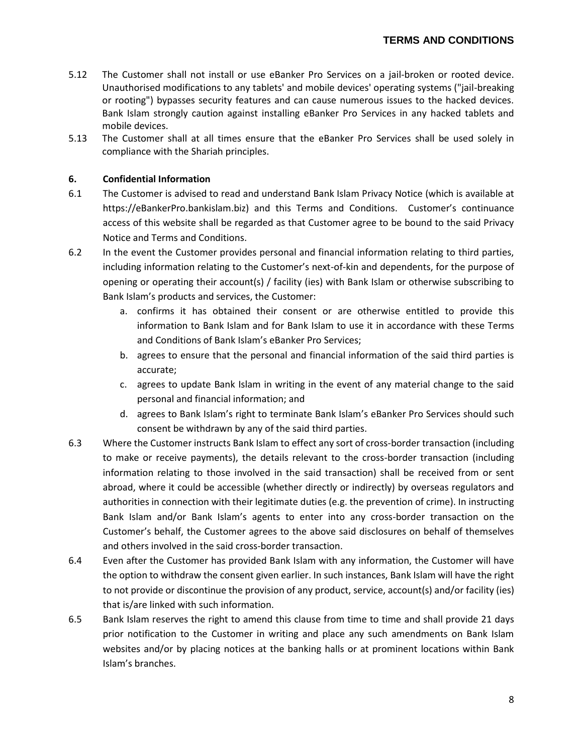- 5.12 The Customer shall not install or use eBanker Pro Services on a jail-broken or rooted device. Unauthorised modifications to any tablets' and mobile devices' operating systems ("jail-breaking or rooting") bypasses security features and can cause numerous issues to the hacked devices. Bank Islam strongly caution against installing eBanker Pro Services in any hacked tablets and mobile devices.
- 5.13 The Customer shall at all times ensure that the eBanker Pro Services shall be used solely in compliance with the Shariah principles.

### **6. Confidential Information**

- 6.1 The Customer is advised to read and understand Bank Islam Privacy Notice (which is available at https://eBankerPro.bankislam.biz) and this Terms and Conditions. Customer's continuance access of this website shall be regarded as that Customer agree to be bound to the said Privacy Notice and Terms and Conditions.
- 6.2 In the event the Customer provides personal and financial information relating to third parties, including information relating to the Customer's next-of-kin and dependents, for the purpose of opening or operating their account(s) / facility (ies) with Bank Islam or otherwise subscribing to Bank Islam's products and services, the Customer:
	- a. confirms it has obtained their consent or are otherwise entitled to provide this information to Bank Islam and for Bank Islam to use it in accordance with these Terms and Conditions of Bank Islam's eBanker Pro Services;
	- b. agrees to ensure that the personal and financial information of the said third parties is accurate;
	- c. agrees to update Bank Islam in writing in the event of any material change to the said personal and financial information; and
	- d. agrees to Bank Islam's right to terminate Bank Islam's eBanker Pro Services should such consent be withdrawn by any of the said third parties.
- 6.3 Where the Customer instructs Bank Islam to effect any sort of cross-border transaction (including to make or receive payments), the details relevant to the cross-border transaction (including information relating to those involved in the said transaction) shall be received from or sent abroad, where it could be accessible (whether directly or indirectly) by overseas regulators and authorities in connection with their legitimate duties (e.g. the prevention of crime). In instructing Bank Islam and/or Bank Islam's agents to enter into any cross-border transaction on the Customer's behalf, the Customer agrees to the above said disclosures on behalf of themselves and others involved in the said cross-border transaction.
- 6.4 Even after the Customer has provided Bank Islam with any information, the Customer will have the option to withdraw the consent given earlier. In such instances, Bank Islam will have the right to not provide or discontinue the provision of any product, service, account(s) and/or facility (ies) that is/are linked with such information.
- 6.5 Bank Islam reserves the right to amend this clause from time to time and shall provide 21 days prior notification to the Customer in writing and place any such amendments on Bank Islam websites and/or by placing notices at the banking halls or at prominent locations within Bank Islam's branches.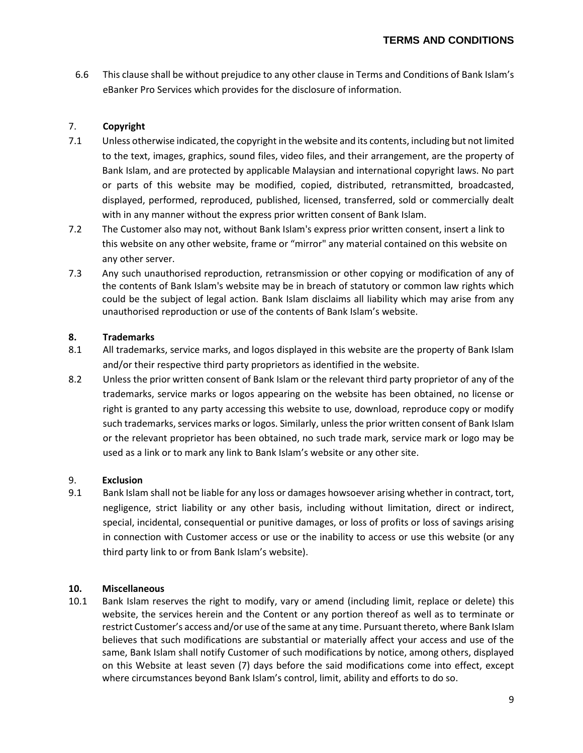6.6 This clause shall be without prejudice to any other clause in Terms and Conditions of Bank Islam's eBanker Pro Services which provides for the disclosure of information.

# 7. **Copyright**

- 7.1 Unless otherwise indicated, the copyright in the website and its contents, including but not limited to the text, images, graphics, sound files, video files, and their arrangement, are the property of Bank Islam, and are protected by applicable Malaysian and international copyright laws. No part or parts of this website may be modified, copied, distributed, retransmitted, broadcasted, displayed, performed, reproduced, published, licensed, transferred, sold or commercially dealt with in any manner without the express prior written consent of Bank Islam.
- 7.2 The Customer also may not, without Bank Islam's express prior written consent, insert a link to this website on any other website, frame or "mirror" any material contained on this website on any other server.
- 7.3 Any such unauthorised reproduction, retransmission or other copying or modification of any of the contents of Bank Islam's website may be in breach of statutory or common law rights which could be the subject of legal action. Bank Islam disclaims all liability which may arise from any unauthorised reproduction or use of the contents of Bank Islam's website.

# **8. Trademarks**

- 8.1 All trademarks, service marks, and logos displayed in this website are the property of Bank Islam and/or their respective third party proprietors as identified in the website.
- 8.2 Unless the prior written consent of Bank Islam or the relevant third party proprietor of any of the trademarks, service marks or logos appearing on the website has been obtained, no license or right is granted to any party accessing this website to use, download, reproduce copy or modify such trademarks, services marks or logos. Similarly, unless the prior written consent of Bank Islam or the relevant proprietor has been obtained, no such trade mark, service mark or logo may be used as a link or to mark any link to Bank Islam's website or any other site.

# 9. **Exclusion**

9.1 Bank Islam shall not be liable for any loss or damages howsoever arising whether in contract, tort, negligence, strict liability or any other basis, including without limitation, direct or indirect, special, incidental, consequential or punitive damages, or loss of profits or loss of savings arising in connection with Customer access or use or the inability to access or use this website (or any third party link to or from Bank Islam's website).

# **10. Miscellaneous**

10.1 Bank Islam reserves the right to modify, vary or amend (including limit, replace or delete) this website, the services herein and the Content or any portion thereof as well as to terminate or restrict Customer's access and/or use of the same at any time. Pursuant thereto, where Bank Islam believes that such modifications are substantial or materially affect your access and use of the same, Bank Islam shall notify Customer of such modifications by notice, among others, displayed on this Website at least seven (7) days before the said modifications come into effect, except where circumstances beyond Bank Islam's control, limit, ability and efforts to do so.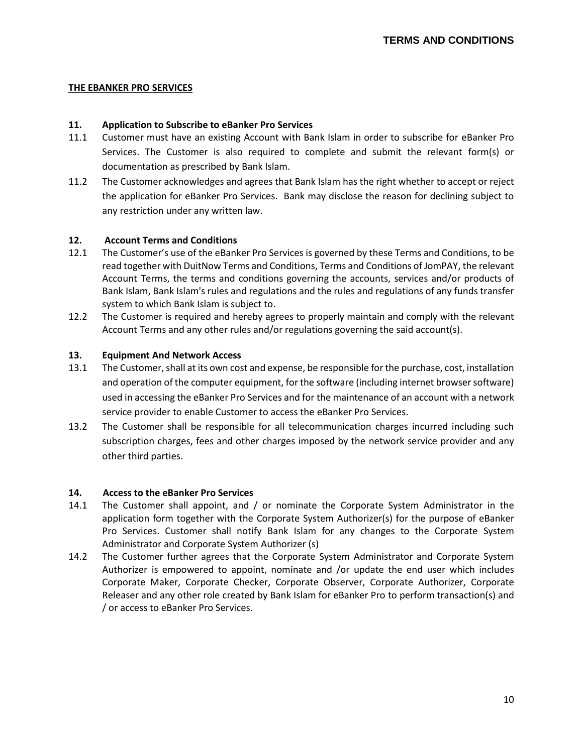### **THE EBANKER PRO SERVICES**

#### **11. Application to Subscribe to eBanker Pro Services**

- 11.1 Customer must have an existing Account with Bank Islam in order to subscribe for eBanker Pro Services. The Customer is also required to complete and submit the relevant form(s) or documentation as prescribed by Bank Islam.
- 11.2 The Customer acknowledges and agrees that Bank Islam has the right whether to accept or reject the application for eBanker Pro Services. Bank may disclose the reason for declining subject to any restriction under any written law.

#### **12. Account Terms and Conditions**

- 12.1 The Customer's use of the eBanker Pro Services is governed by these Terms and Conditions, to be read together with DuitNow Terms and Conditions, Terms and Conditions of JomPAY, the relevant Account Terms, the terms and conditions governing the accounts, services and/or products of Bank Islam, Bank Islam's rules and regulations and the rules and regulations of any funds transfer system to which Bank Islam is subject to.
- 12.2 The Customer is required and hereby agrees to properly maintain and comply with the relevant Account Terms and any other rules and/or regulations governing the said account(s).

### **13. Equipment And Network Access**

- 13.1 The Customer, shall at its own cost and expense, be responsible for the purchase, cost, installation and operation of the computer equipment, for the software (including internet browser software) used in accessing the eBanker Pro Services and for the maintenance of an account with a network service provider to enable Customer to access the eBanker Pro Services.
- 13.2 The Customer shall be responsible for all telecommunication charges incurred including such subscription charges, fees and other charges imposed by the network service provider and any other third parties.

#### **14. Access to the eBanker Pro Services**

- 14.1 The Customer shall appoint, and / or nominate the Corporate System Administrator in the application form together with the Corporate System Authorizer(s) for the purpose of eBanker Pro Services. Customer shall notify Bank Islam for any changes to the Corporate System Administrator and Corporate System Authorizer (s)
- 14.2 The Customer further agrees that the Corporate System Administrator and Corporate System Authorizer is empowered to appoint, nominate and /or update the end user which includes Corporate Maker, Corporate Checker, Corporate Observer, Corporate Authorizer, Corporate Releaser and any other role created by Bank Islam for eBanker Pro to perform transaction(s) and / or access to eBanker Pro Services.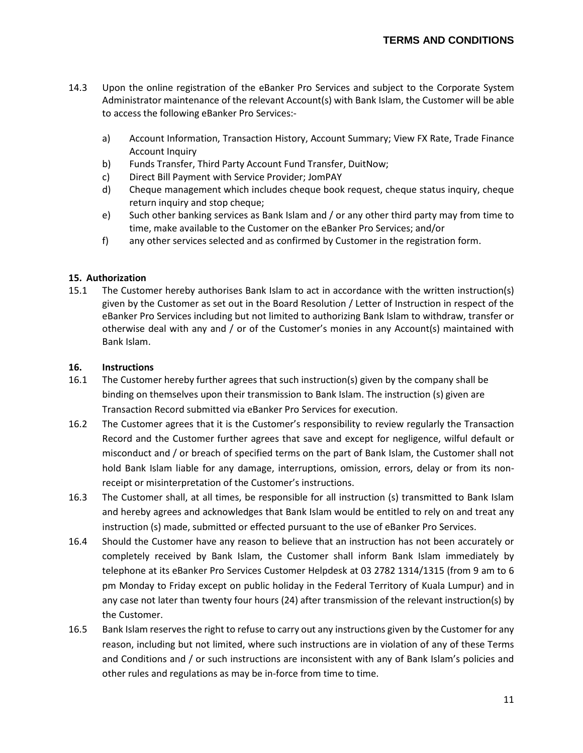- 14.3 Upon the online registration of the eBanker Pro Services and subject to the Corporate System Administrator maintenance of the relevant Account(s) with Bank Islam, the Customer will be able to access the following eBanker Pro Services:
	- a) Account Information, Transaction History, Account Summary; View FX Rate, Trade Finance Account Inquiry
	- b) Funds Transfer, Third Party Account Fund Transfer, DuitNow;
	- c) Direct Bill Payment with Service Provider; JomPAY
	- d) Cheque management which includes cheque book request, cheque status inquiry, cheque return inquiry and stop cheque;
	- e) Such other banking services as Bank Islam and / or any other third party may from time to time, make available to the Customer on the eBanker Pro Services; and/or
	- f) any other services selected and as confirmed by Customer in the registration form.

### **15. Authorization**

15.1 The Customer hereby authorises Bank Islam to act in accordance with the written instruction(s) given by the Customer as set out in the Board Resolution / Letter of Instruction in respect of the eBanker Pro Services including but not limited to authorizing Bank Islam to withdraw, transfer or otherwise deal with any and / or of the Customer's monies in any Account(s) maintained with Bank Islam.

### **16. Instructions**

- 16.1 The Customer hereby further agrees that such instruction(s) given by the company shall be binding on themselves upon their transmission to Bank Islam. The instruction (s) given are Transaction Record submitted via eBanker Pro Services for execution.
- 16.2 The Customer agrees that it is the Customer's responsibility to review regularly the Transaction Record and the Customer further agrees that save and except for negligence, wilful default or misconduct and / or breach of specified terms on the part of Bank Islam, the Customer shall not hold Bank Islam liable for any damage, interruptions, omission, errors, delay or from its nonreceipt or misinterpretation of the Customer's instructions.
- 16.3 The Customer shall, at all times, be responsible for all instruction (s) transmitted to Bank Islam and hereby agrees and acknowledges that Bank Islam would be entitled to rely on and treat any instruction (s) made, submitted or effected pursuant to the use of eBanker Pro Services.
- 16.4 Should the Customer have any reason to believe that an instruction has not been accurately or completely received by Bank Islam, the Customer shall inform Bank Islam immediately by telephone at its eBanker Pro Services Customer Helpdesk at 03 2782 1314/1315 (from 9 am to 6 pm Monday to Friday except on public holiday in the Federal Territory of Kuala Lumpur) and in any case not later than twenty four hours (24) after transmission of the relevant instruction(s) by the Customer.
- 16.5 Bank Islam reserves the right to refuse to carry out any instructions given by the Customer for any reason, including but not limited, where such instructions are in violation of any of these Terms and Conditions and / or such instructions are inconsistent with any of Bank Islam's policies and other rules and regulations as may be in-force from time to time.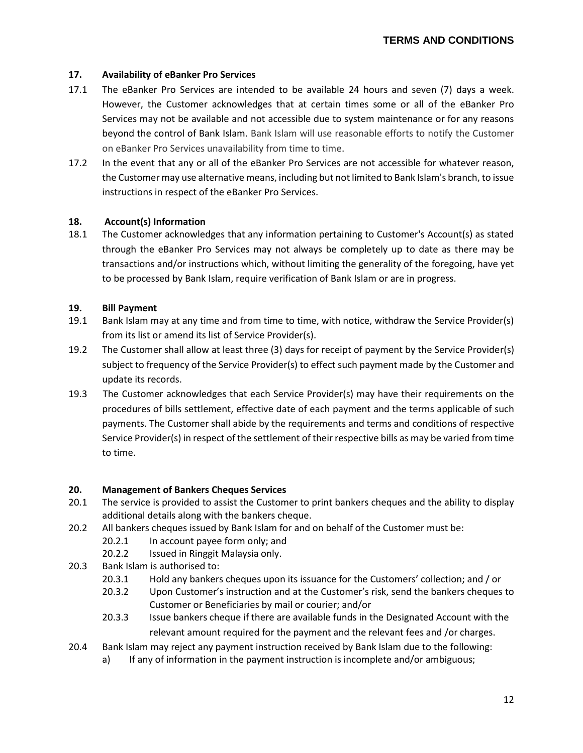## **17. Availability of eBanker Pro Services**

- 17.1 The eBanker Pro Services are intended to be available 24 hours and seven (7) days a week. However, the Customer acknowledges that at certain times some or all of the eBanker Pro Services may not be available and not accessible due to system maintenance or for any reasons beyond the control of Bank Islam. Bank Islam will use reasonable efforts to notify the Customer on eBanker Pro Services unavailability from time to time.
- 17.2 In the event that any or all of the eBanker Pro Services are not accessible for whatever reason, the Customer may use alternative means, including but not limited to Bank Islam's branch, to issue instructions in respect of the eBanker Pro Services.

### **18. Account(s) Information**

18.1 The Customer acknowledges that any information pertaining to Customer's Account(s) as stated through the eBanker Pro Services may not always be completely up to date as there may be transactions and/or instructions which, without limiting the generality of the foregoing, have yet to be processed by Bank Islam, require verification of Bank Islam or are in progress.

### **19. Bill Payment**

- 19.1 Bank Islam may at any time and from time to time, with notice, withdraw the Service Provider(s) from its list or amend its list of Service Provider(s).
- 19.2 The Customer shall allow at least three (3) days for receipt of payment by the Service Provider(s) subject to frequency of the Service Provider(s) to effect such payment made by the Customer and update its records.
- 19.3 The Customer acknowledges that each Service Provider(s) may have their requirements on the procedures of bills settlement, effective date of each payment and the terms applicable of such payments. The Customer shall abide by the requirements and terms and conditions of respective Service Provider(s) in respect of the settlement of their respective bills as may be varied from time to time.

### **20. Management of Bankers Cheques Services**

- 20.1 The service is provided to assist the Customer to print bankers cheques and the ability to display additional details along with the bankers cheque.
- 20.2 All bankers cheques issued by Bank Islam for and on behalf of the Customer must be:
	- 20.2.1 In account payee form only; and
	- 20.2.2 Issued in Ringgit Malaysia only.
- 20.3 Bank Islam is authorised to:
	- 20.3.1 Hold any bankers cheques upon its issuance for the Customers' collection; and / or
	- 20.3.2 Upon Customer's instruction and at the Customer's risk, send the bankers cheques to Customer or Beneficiaries by mail or courier; and/or
	- 20.3.3 Issue bankers cheque if there are available funds in the Designated Account with the relevant amount required for the payment and the relevant fees and /or charges.
- 20.4 Bank Islam may reject any payment instruction received by Bank Islam due to the following:
	- a) If any of information in the payment instruction is incomplete and/or ambiguous;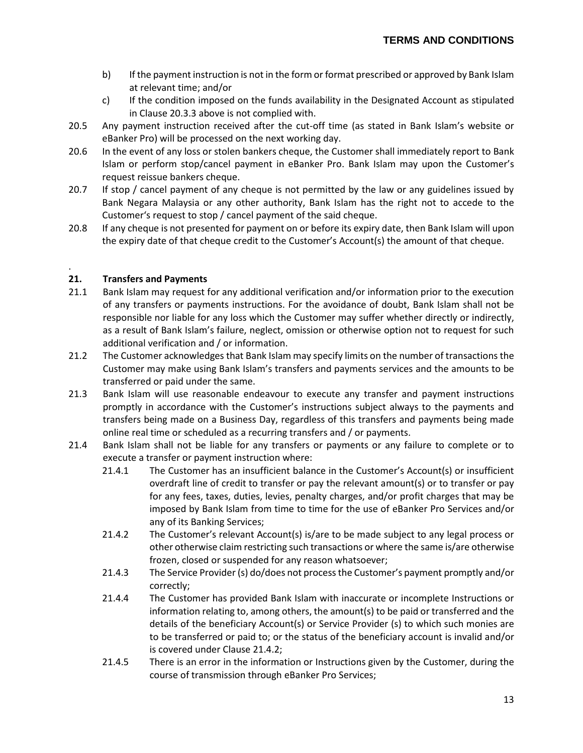- b) If the payment instruction is not in the form or format prescribed or approved by Bank Islam at relevant time; and/or
- c) If the condition imposed on the funds availability in the Designated Account as stipulated in Clause 20.3.3 above is not complied with.
- 20.5 Any payment instruction received after the cut-off time (as stated in Bank Islam's website or eBanker Pro) will be processed on the next working day.
- 20.6 In the event of any loss or stolen bankers cheque, the Customer shall immediately report to Bank Islam or perform stop/cancel payment in eBanker Pro. Bank Islam may upon the Customer's request reissue bankers cheque.
- 20.7 If stop / cancel payment of any cheque is not permitted by the law or any guidelines issued by Bank Negara Malaysia or any other authority, Bank Islam has the right not to accede to the Customer's request to stop / cancel payment of the said cheque.
- 20.8 If any cheque is not presented for payment on or before its expiry date, then Bank Islam will upon the expiry date of that cheque credit to the Customer's Account(s) the amount of that cheque.

### **21. Transfers and Payments**

.

- 21.1 Bank Islam may request for any additional verification and/or information prior to the execution of any transfers or payments instructions. For the avoidance of doubt, Bank Islam shall not be responsible nor liable for any loss which the Customer may suffer whether directly or indirectly, as a result of Bank Islam's failure, neglect, omission or otherwise option not to request for such additional verification and / or information.
- 21.2 The Customer acknowledges that Bank Islam may specify limits on the number of transactions the Customer may make using Bank Islam's transfers and payments services and the amounts to be transferred or paid under the same.
- 21.3 Bank Islam will use reasonable endeavour to execute any transfer and payment instructions promptly in accordance with the Customer's instructions subject always to the payments and transfers being made on a Business Day, regardless of this transfers and payments being made online real time or scheduled as a recurring transfers and / or payments.
- 21.4 Bank Islam shall not be liable for any transfers or payments or any failure to complete or to execute a transfer or payment instruction where:
	- 21.4.1 The Customer has an insufficient balance in the Customer's Account(s) or insufficient overdraft line of credit to transfer or pay the relevant amount(s) or to transfer or pay for any fees, taxes, duties, levies, penalty charges, and/or profit charges that may be imposed by Bank Islam from time to time for the use of eBanker Pro Services and/or any of its Banking Services;
	- 21.4.2 The Customer's relevant Account(s) is/are to be made subject to any legal process or other otherwise claim restricting such transactions or where the same is/are otherwise frozen, closed or suspended for any reason whatsoever;
	- 21.4.3 The Service Provider (s) do/does not process the Customer's payment promptly and/or correctly;
	- 21.4.4 The Customer has provided Bank Islam with inaccurate or incomplete Instructions or information relating to, among others, the amount(s) to be paid or transferred and the details of the beneficiary Account(s) or Service Provider (s) to which such monies are to be transferred or paid to; or the status of the beneficiary account is invalid and/or is covered under Clause 21.4.2;
	- 21.4.5 There is an error in the information or Instructions given by the Customer, during the course of transmission through eBanker Pro Services;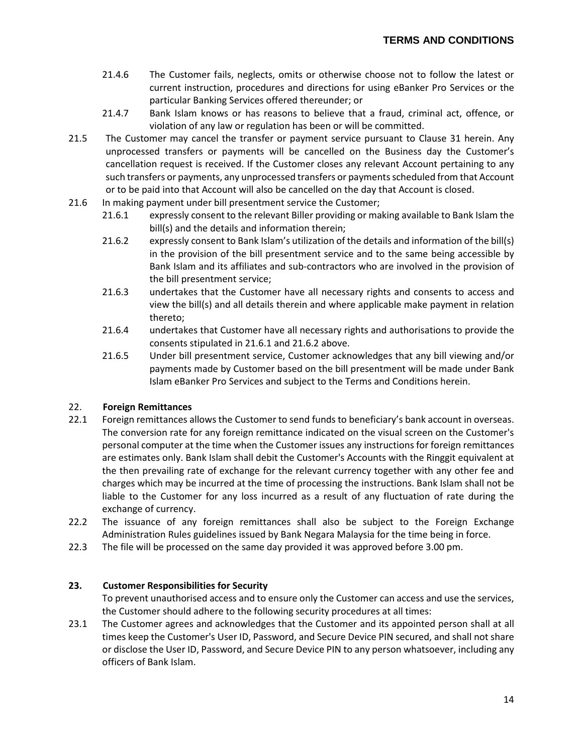- 21.4.6 The Customer fails, neglects, omits or otherwise choose not to follow the latest or current instruction, procedures and directions for using eBanker Pro Services or the particular Banking Services offered thereunder; or
- 21.4.7 Bank Islam knows or has reasons to believe that a fraud, criminal act, offence, or violation of any law or regulation has been or will be committed.
- 21.5 The Customer may cancel the transfer or payment service pursuant to Clause 31 herein. Any unprocessed transfers or payments will be cancelled on the Business day the Customer's cancellation request is received. If the Customer closes any relevant Account pertaining to any such transfers or payments, any unprocessed transfers or payments scheduled from that Account or to be paid into that Account will also be cancelled on the day that Account is closed.
- 21.6 In making payment under bill presentment service the Customer;
	- 21.6.1 expressly consent to the relevant Biller providing or making available to Bank Islam the bill(s) and the details and information therein;
	- 21.6.2 expressly consent to Bank Islam's utilization of the details and information of the bill(s) in the provision of the bill presentment service and to the same being accessible by Bank Islam and its affiliates and sub-contractors who are involved in the provision of the bill presentment service;
	- 21.6.3 undertakes that the Customer have all necessary rights and consents to access and view the bill(s) and all details therein and where applicable make payment in relation thereto;
	- 21.6.4 undertakes that Customer have all necessary rights and authorisations to provide the consents stipulated in 21.6.1 and 21.6.2 above.
	- 21.6.5 Under bill presentment service, Customer acknowledges that any bill viewing and/or payments made by Customer based on the bill presentment will be made under Bank Islam eBanker Pro Services and subject to the Terms and Conditions herein.

# 22. **Foreign Remittances**

- 22.1 Foreign remittances allows the Customer to send funds to beneficiary's bank account in overseas. The conversion rate for any foreign remittance indicated on the visual screen on the Customer's personal computer at the time when the Customer issues any instructions for foreign remittances are estimates only. Bank Islam shall debit the Customer's Accounts with the Ringgit equivalent at the then prevailing rate of exchange for the relevant currency together with any other fee and charges which may be incurred at the time of processing the instructions. Bank Islam shall not be liable to the Customer for any loss incurred as a result of any fluctuation of rate during the exchange of currency.
- 22.2 The issuance of any foreign remittances shall also be subject to the Foreign Exchange Administration Rules guidelines issued by Bank Negara Malaysia for the time being in force.
- 22.3 The file will be processed on the same day provided it was approved before 3.00 pm.

# **23. Customer Responsibilities for Security**

To prevent unauthorised access and to ensure only the Customer can access and use the services, the Customer should adhere to the following security procedures at all times:

23.1 The Customer agrees and acknowledges that the Customer and its appointed person shall at all times keep the Customer's User ID, Password, and Secure Device PIN secured, and shall not share or disclose the User ID, Password, and Secure Device PIN to any person whatsoever, including any officers of Bank Islam.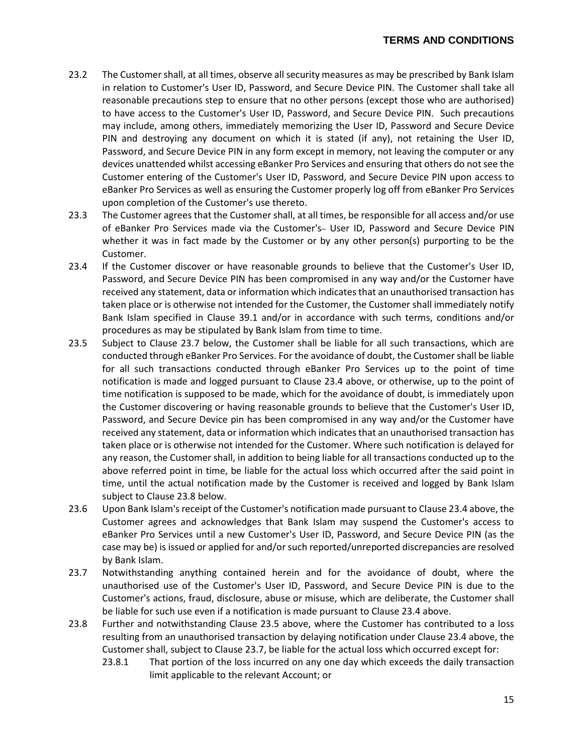- 23.2 The Customer shall, at all times, observe all security measures as may be prescribed by Bank Islam in relation to Customer's User ID, Password, and Secure Device PIN. The Customer shall take all reasonable precautions step to ensure that no other persons (except those who are authorised) to have access to the Customer's User ID, Password, and Secure Device PIN. Such precautions may include, among others, immediately memorizing the User ID, Password and Secure Device PIN and destroying any document on which it is stated (if any), not retaining the User ID, Password, and Secure Device PIN in any form except in memory, not leaving the computer or any devices unattended whilst accessing eBanker Pro Services and ensuring that others do not see the Customer entering of the Customer's User ID, Password, and Secure Device PIN upon access to eBanker Pro Services as well as ensuring the Customer properly log off from eBanker Pro Services upon completion of the Customer's use thereto.
- 23.3 The Customer agrees that the Customer shall, at all times, be responsible for all access and/or use of eBanker Pro Services made via the Customer's- User ID, Password and Secure Device PIN whether it was in fact made by the Customer or by any other person(s) purporting to be the Customer.
- 23.4 If the Customer discover or have reasonable grounds to believe that the Customer's User ID, Password, and Secure Device PIN has been compromised in any way and/or the Customer have received any statement, data or information which indicates that an unauthorised transaction has taken place or is otherwise not intended for the Customer, the Customer shall immediately notify Bank Islam specified in Clause 39.1 and/or in accordance with such terms, conditions and/or procedures as may be stipulated by Bank Islam from time to time.
- 23.5 Subject to Clause 23.7 below, the Customer shall be liable for all such transactions, which are conducted through eBanker Pro Services. For the avoidance of doubt, the Customer shall be liable for all such transactions conducted through eBanker Pro Services up to the point of time notification is made and logged pursuant to Clause 23.4 above, or otherwise, up to the point of time notification is supposed to be made, which for the avoidance of doubt, is immediately upon the Customer discovering or having reasonable grounds to believe that the Customer's User ID, Password, and Secure Device pin has been compromised in any way and/or the Customer have received any statement, data or information which indicates that an unauthorised transaction has taken place or is otherwise not intended for the Customer. Where such notification is delayed for any reason, the Customer shall, in addition to being liable for all transactions conducted up to the above referred point in time, be liable for the actual loss which occurred after the said point in time, until the actual notification made by the Customer is received and logged by Bank Islam subject to Clause 23.8 below.
- 23.6 Upon Bank Islam's receipt of the Customer's notification made pursuant to Clause 23.4 above, the Customer agrees and acknowledges that Bank Islam may suspend the Customer's access to eBanker Pro Services until a new Customer's User ID, Password, and Secure Device PIN (as the case may be) is issued or applied for and/or such reported/unreported discrepancies are resolved by Bank Islam.
- 23.7 Notwithstanding anything contained herein and for the avoidance of doubt, where the unauthorised use of the Customer's User ID, Password, and Secure Device PIN is due to the Customer's actions, fraud, disclosure, abuse or misuse, which are deliberate, the Customer shall be liable for such use even if a notification is made pursuant to Clause 23.4 above.
- 23.8 Further and notwithstanding Clause 23.5 above, where the Customer has contributed to a loss resulting from an unauthorised transaction by delaying notification under Clause 23.4 above, the Customer shall, subject to Clause 23.7, be liable for the actual loss which occurred except for:
	- 23.8.1 That portion of the loss incurred on any one day which exceeds the daily transaction limit applicable to the relevant Account; or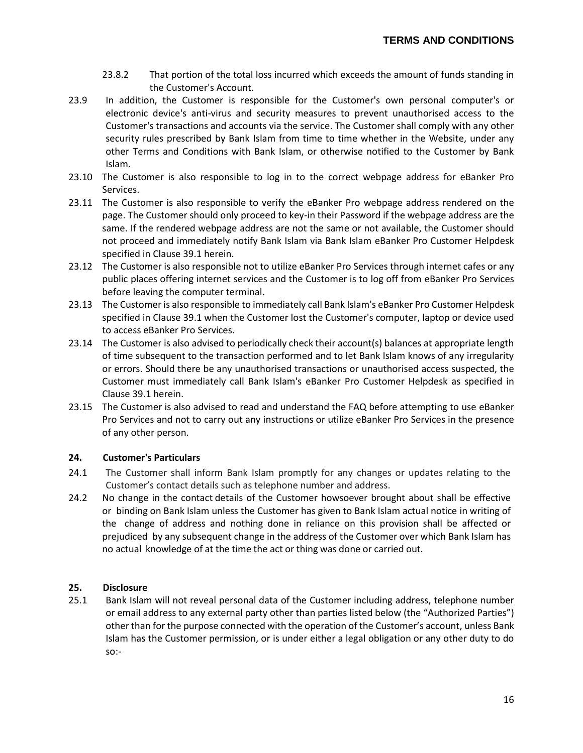- 23.8.2 That portion of the total loss incurred which exceeds the amount of funds standing in the Customer's Account.
- 23.9 In addition, the Customer is responsible for the Customer's own personal computer's or electronic device's anti-virus and security measures to prevent unauthorised access to the Customer's transactions and accounts via the service. The Customer shall comply with any other security rules prescribed by Bank Islam from time to time whether in the Website, under any other Terms and Conditions with Bank Islam, or otherwise notified to the Customer by Bank Islam.
- 23.10 The Customer is also responsible to log in to the correct webpage address for eBanker Pro Services.
- 23.11 The Customer is also responsible to verify the eBanker Pro webpage address rendered on the page. The Customer should only proceed to key-in their Password if the webpage address are the same. If the rendered webpage address are not the same or not available, the Customer should not proceed and immediately notify Bank Islam via Bank Islam eBanker Pro Customer Helpdesk specified in Clause 39.1 herein.
- 23.12 The Customer is also responsible not to utilize eBanker Pro Services through internet cafes or any public places offering internet services and the Customer is to log off from eBanker Pro Services before leaving the computer terminal.
- 23.13 The Customer is also responsible to immediately call Bank Islam's eBanker Pro Customer Helpdesk specified in Clause 39.1 when the Customer lost the Customer's computer, laptop or device used to access eBanker Pro Services.
- 23.14 The Customer is also advised to periodically check their account(s) balances at appropriate length of time subsequent to the transaction performed and to let Bank Islam knows of any irregularity or errors. Should there be any unauthorised transactions or unauthorised access suspected, the Customer must immediately call Bank Islam's eBanker Pro Customer Helpdesk as specified in Clause 39.1 herein.
- 23.15 The Customer is also advised to read and understand the FAQ before attempting to use eBanker Pro Services and not to carry out any instructions or utilize eBanker Pro Services in the presence of any other person.

# **24. Customer's Particulars**

- 24.1 The Customer shall inform Bank Islam promptly for any changes or updates relating to the Customer's contact details such as telephone number and address.
- 24.2 No change in the contact details of the Customer howsoever brought about shall be effective or binding on Bank Islam unless the Customer has given to Bank Islam actual notice in writing of the change of address and nothing done in reliance on this provision shall be affected or prejudiced by any subsequent change in the address of the Customer over which Bank Islam has no actual knowledge of at the time the act or thing was done or carried out.

### **25. Disclosure**

25.1 Bank Islam will not reveal personal data of the Customer including address, telephone number or email address to any external party other than parties listed below (the "Authorized Parties") other than for the purpose connected with the operation of the Customer's account, unless Bank Islam has the Customer permission, or is under either a legal obligation or any other duty to do so:-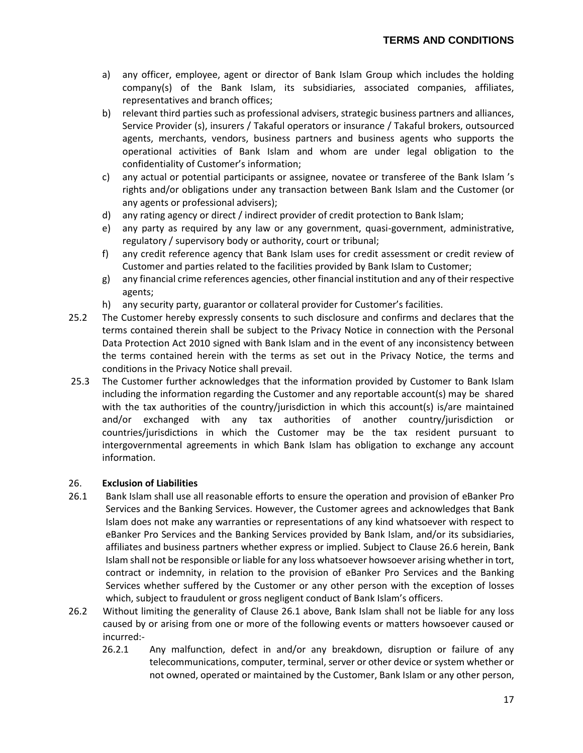- a) any officer, employee, agent or director of Bank Islam Group which includes the holding company(s) of the Bank Islam, its subsidiaries, associated companies, affiliates, representatives and branch offices;
- b) relevant third parties such as professional advisers, strategic business partners and alliances, Service Provider (s), insurers / Takaful operators or insurance / Takaful brokers, outsourced agents, merchants, vendors, business partners and business agents who supports the operational activities of Bank Islam and whom are under legal obligation to the confidentiality of Customer's information;
- c) any actual or potential participants or assignee, novatee or transferee of the Bank Islam 's rights and/or obligations under any transaction between Bank Islam and the Customer (or any agents or professional advisers);
- d) any rating agency or direct / indirect provider of credit protection to Bank Islam;
- e) any party as required by any law or any government, quasi-government, administrative, regulatory / supervisory body or authority, court or tribunal;
- f) any credit reference agency that Bank Islam uses for credit assessment or credit review of Customer and parties related to the facilities provided by Bank Islam to Customer;
- g) any financial crime references agencies, other financial institution and any of their respective agents;
- h) any security party, guarantor or collateral provider for Customer's facilities.
- 25.2 The Customer hereby expressly consents to such disclosure and confirms and declares that the terms contained therein shall be subject to the Privacy Notice in connection with the Personal Data Protection Act 2010 signed with Bank Islam and in the event of any inconsistency between the terms contained herein with the terms as set out in the Privacy Notice, the terms and conditions in the Privacy Notice shall prevail.
- 25.3 The Customer further acknowledges that the information provided by Customer to Bank Islam including the information regarding the Customer and any reportable account(s) may be shared with the tax authorities of the country/jurisdiction in which this account(s) is/are maintained and/or exchanged with any tax authorities of another country/jurisdiction or countries/jurisdictions in which the Customer may be the tax resident pursuant to intergovernmental agreements in which Bank Islam has obligation to exchange any account information.

# 26. **Exclusion of Liabilities**

- 26.1 Bank Islam shall use all reasonable efforts to ensure the operation and provision of eBanker Pro Services and the Banking Services. However, the Customer agrees and acknowledges that Bank Islam does not make any warranties or representations of any kind whatsoever with respect to eBanker Pro Services and the Banking Services provided by Bank Islam, and/or its subsidiaries, affiliates and business partners whether express or implied. Subject to Clause 26.6 herein, Bank Islam shall not be responsible or liable for any loss whatsoever howsoever arising whether in tort, contract or indemnity, in relation to the provision of eBanker Pro Services and the Banking Services whether suffered by the Customer or any other person with the exception of losses which, subject to fraudulent or gross negligent conduct of Bank Islam's officers.
- 26.2 Without limiting the generality of Clause 26.1 above, Bank Islam shall not be liable for any loss caused by or arising from one or more of the following events or matters howsoever caused or incurred:-
	- 26.2.1 Any malfunction, defect in and/or any breakdown, disruption or failure of any telecommunications, computer, terminal, server or other device or system whether or not owned, operated or maintained by the Customer, Bank Islam or any other person,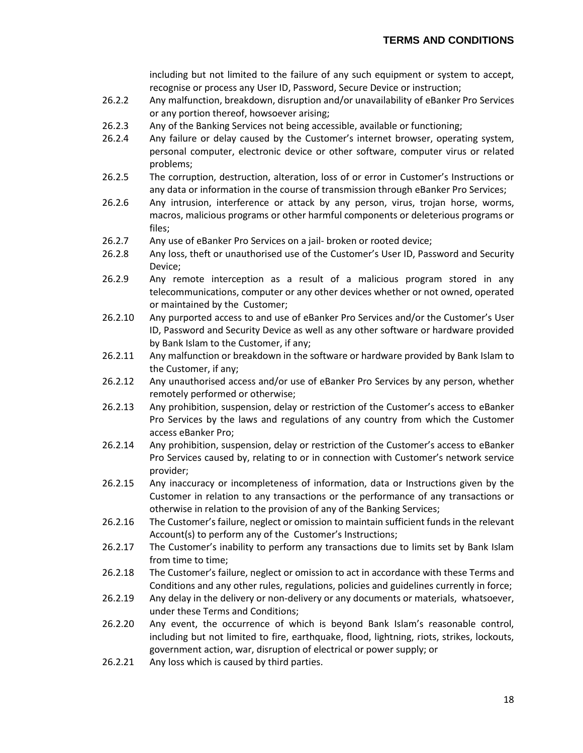including but not limited to the failure of any such equipment or system to accept, recognise or process any User ID, Password, Secure Device or instruction;

- 26.2.2 Any malfunction, breakdown, disruption and/or unavailability of eBanker Pro Services or any portion thereof, howsoever arising;
- 26.2.3 Any of the Banking Services not being accessible, available or functioning;
- 26.2.4 Any failure or delay caused by the Customer's internet browser, operating system, personal computer, electronic device or other software, computer virus or related problems;
- 26.2.5 The corruption, destruction, alteration, loss of or error in Customer's Instructions or any data or information in the course of transmission through eBanker Pro Services;
- 26.2.6 Any intrusion, interference or attack by any person, virus, trojan horse, worms, macros, malicious programs or other harmful components or deleterious programs or files;
- 26.2.7 Any use of eBanker Pro Services on a jail- broken or rooted device;
- 26.2.8 Any loss, theft or unauthorised use of the Customer's User ID, Password and Security Device;
- 26.2.9 Any remote interception as a result of a malicious program stored in any telecommunications, computer or any other devices whether or not owned, operated or maintained by the Customer;
- 26.2.10 Any purported access to and use of eBanker Pro Services and/or the Customer's User ID, Password and Security Device as well as any other software or hardware provided by Bank Islam to the Customer, if any;
- 26.2.11 Any malfunction or breakdown in the software or hardware provided by Bank Islam to the Customer, if any;
- 26.2.12 Any unauthorised access and/or use of eBanker Pro Services by any person, whether remotely performed or otherwise;
- 26.2.13 Any prohibition, suspension, delay or restriction of the Customer's access to eBanker Pro Services by the laws and regulations of any country from which the Customer access eBanker Pro;
- 26.2.14 Any prohibition, suspension, delay or restriction of the Customer's access to eBanker Pro Services caused by, relating to or in connection with Customer's network service provider;
- 26.2.15 Any inaccuracy or incompleteness of information, data or Instructions given by the Customer in relation to any transactions or the performance of any transactions or otherwise in relation to the provision of any of the Banking Services;
- 26.2.16 The Customer's failure, neglect or omission to maintain sufficient funds in the relevant Account(s) to perform any of the Customer's Instructions;
- 26.2.17 The Customer's inability to perform any transactions due to limits set by Bank Islam from time to time;
- 26.2.18 The Customer's failure, neglect or omission to act in accordance with these Terms and Conditions and any other rules, regulations, policies and guidelines currently in force;
- 26.2.19 Any delay in the delivery or non-delivery or any documents or materials, whatsoever, under these Terms and Conditions;
- 26.2.20 Any event, the occurrence of which is beyond Bank Islam's reasonable control, including but not limited to fire, earthquake, flood, lightning, riots, strikes, lockouts, government action, war, disruption of electrical or power supply; or
- 26.2.21 Any loss which is caused by third parties.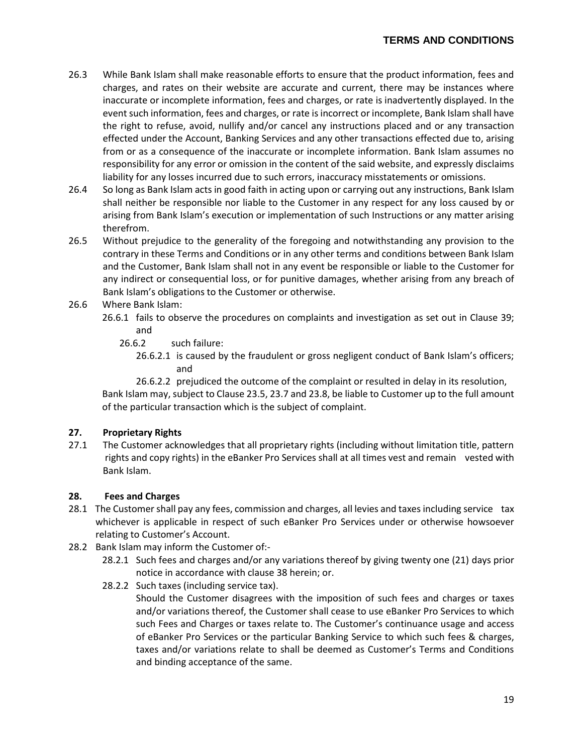- 26.3 While Bank Islam shall make reasonable efforts to ensure that the product information, fees and charges, and rates on their website are accurate and current, there may be instances where inaccurate or incomplete information, fees and charges, or rate is inadvertently displayed. In the event such information, fees and charges, or rate is incorrect or incomplete, Bank Islam shall have the right to refuse, avoid, nullify and/or cancel any instructions placed and or any transaction effected under the Account, Banking Services and any other transactions effected due to, arising from or as a consequence of the inaccurate or incomplete information. Bank Islam assumes no responsibility for any error or omission in the content of the said website, and expressly disclaims liability for any losses incurred due to such errors, inaccuracy misstatements or omissions.
- 26.4 So long as Bank Islam acts in good faith in acting upon or carrying out any instructions, Bank Islam shall neither be responsible nor liable to the Customer in any respect for any loss caused by or arising from Bank Islam's execution or implementation of such Instructions or any matter arising therefrom.
- 26.5 Without prejudice to the generality of the foregoing and notwithstanding any provision to the contrary in these Terms and Conditions or in any other terms and conditions between Bank Islam and the Customer, Bank Islam shall not in any event be responsible or liable to the Customer for any indirect or consequential loss, or for punitive damages, whether arising from any breach of Bank Islam's obligations to the Customer or otherwise.
- 26.6 Where Bank Islam:
	- 26.6.1 fails to observe the procedures on complaints and investigation as set out in Clause 39; and
		- 26.6.2 such failure:
			- 26.6.2.1 is caused by the fraudulent or gross negligent conduct of Bank Islam's officers; and

26.6.2.2 prejudiced the outcome of the complaint or resulted in delay in its resolution, Bank Islam may, subject to Clause 23.5, 23.7 and 23.8, be liable to Customer up to the full amount of the particular transaction which is the subject of complaint.

### **27. Proprietary Rights**

27.1 The Customer acknowledges that all proprietary rights (including without limitation title, pattern rights and copy rights) in the eBanker Pro Services shall at all times vest and remain vested with Bank Islam.

### **28. Fees and Charges**

- 28.1 The Customer shall pay any fees, commission and charges, all levies and taxes including service tax whichever is applicable in respect of such eBanker Pro Services under or otherwise howsoever relating to Customer's Account.
- 28.2 Bank Islam may inform the Customer of:-
	- 28.2.1 Such fees and charges and/or any variations thereof by giving twenty one (21) days prior notice in accordance with clause 38 herein; or.
	- 28.2.2 Such taxes (including service tax).

Should the Customer disagrees with the imposition of such fees and charges or taxes and/or variations thereof, the Customer shall cease to use eBanker Pro Services to which such Fees and Charges or taxes relate to. The Customer's continuance usage and access of eBanker Pro Services or the particular Banking Service to which such fees & charges, taxes and/or variations relate to shall be deemed as Customer's Terms and Conditions and binding acceptance of the same.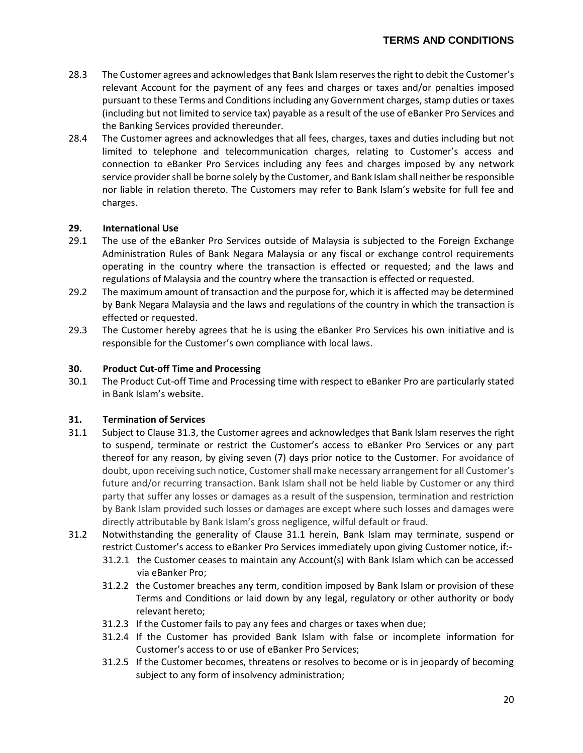- 28.3 The Customer agrees and acknowledges that Bank Islam reserves the right to debit the Customer's relevant Account for the payment of any fees and charges or taxes and/or penalties imposed pursuant to these Terms and Conditions including any Government charges, stamp duties or taxes (including but not limited to service tax) payable as a result of the use of eBanker Pro Services and the Banking Services provided thereunder.
- 28.4 The Customer agrees and acknowledges that all fees, charges, taxes and duties including but not limited to telephone and telecommunication charges, relating to Customer's access and connection to eBanker Pro Services including any fees and charges imposed by any network service provider shall be borne solely by the Customer, and Bank Islam shall neither be responsible nor liable in relation thereto. The Customers may refer to Bank Islam's website for full fee and charges.

# **29. International Use**

- 29.1 The use of the eBanker Pro Services outside of Malaysia is subjected to the Foreign Exchange Administration Rules of Bank Negara Malaysia or any fiscal or exchange control requirements operating in the country where the transaction is effected or requested; and the laws and regulations of Malaysia and the country where the transaction is effected or requested.
- 29.2 The maximum amount of transaction and the purpose for, which it is affected may be determined by Bank Negara Malaysia and the laws and regulations of the country in which the transaction is effected or requested.
- 29.3 The Customer hereby agrees that he is using the eBanker Pro Services his own initiative and is responsible for the Customer's own compliance with local laws.

# **30. Product Cut-off Time and Processing**

30.1 The Product Cut-off Time and Processing time with respect to eBanker Pro are particularly stated in Bank Islam's website.

# **31. Termination of Services**

- 31.1 Subject to Clause 31.3, the Customer agrees and acknowledges that Bank Islam reserves the right to suspend, terminate or restrict the Customer's access to eBanker Pro Services or any part thereof for any reason, by giving seven (7) days prior notice to the Customer. For avoidance of doubt, upon receiving such notice, Customer shall make necessary arrangement for all Customer's future and/or recurring transaction. Bank Islam shall not be held liable by Customer or any third party that suffer any losses or damages as a result of the suspension, termination and restriction by Bank Islam provided such losses or damages are except where such losses and damages were directly attributable by Bank Islam's gross negligence, wilful default or fraud.
- 31.2 Notwithstanding the generality of Clause 31.1 herein, Bank Islam may terminate, suspend or restrict Customer's access to eBanker Pro Services immediately upon giving Customer notice, if:-
	- 31.2.1 the Customer ceases to maintain any Account(s) with Bank Islam which can be accessed via eBanker Pro;
	- 31.2.2 the Customer breaches any term, condition imposed by Bank Islam or provision of these Terms and Conditions or laid down by any legal, regulatory or other authority or body relevant hereto;
	- 31.2.3 If the Customer fails to pay any fees and charges or taxes when due;
	- 31.2.4 If the Customer has provided Bank Islam with false or incomplete information for Customer's access to or use of eBanker Pro Services;
	- 31.2.5 If the Customer becomes, threatens or resolves to become or is in jeopardy of becoming subject to any form of insolvency administration;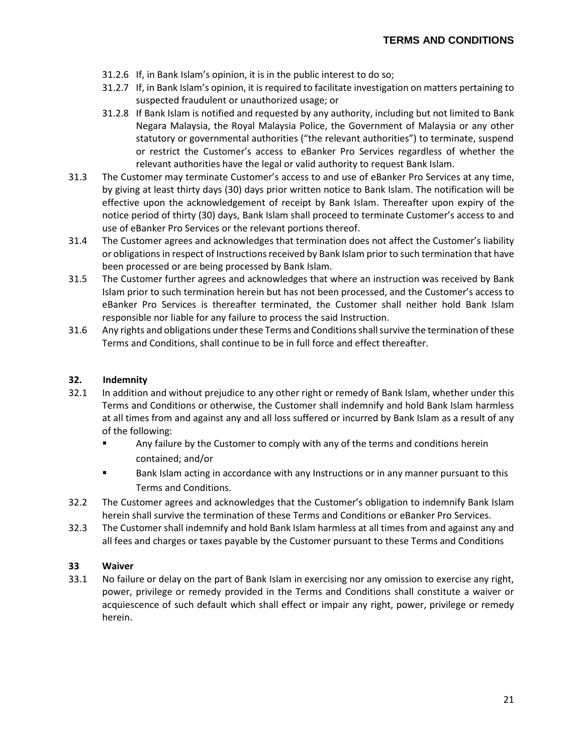- 31.2.6 If, in Bank Islam's opinion, it is in the public interest to do so;
- 31.2.7 If, in Bank Islam's opinion, it is required to facilitate investigation on matters pertaining to suspected fraudulent or unauthorized usage; or
- 31.2.8 If Bank Islam is notified and requested by any authority, including but not limited to Bank Negara Malaysia, the Royal Malaysia Police, the Government of Malaysia or any other statutory or governmental authorities ("the relevant authorities") to terminate, suspend or restrict the Customer's access to eBanker Pro Services regardless of whether the relevant authorities have the legal or valid authority to request Bank Islam.
- 31.3 The Customer may terminate Customer's access to and use of eBanker Pro Services at any time, by giving at least thirty days (30) days prior written notice to Bank Islam. The notification will be effective upon the acknowledgement of receipt by Bank Islam. Thereafter upon expiry of the notice period of thirty (30) days, Bank Islam shall proceed to terminate Customer's access to and use of eBanker Pro Services or the relevant portions thereof.
- 31.4 The Customer agrees and acknowledges that termination does not affect the Customer's liability or obligations in respect of Instructions received by Bank Islam prior to such termination that have been processed or are being processed by Bank Islam.
- 31.5 The Customer further agrees and acknowledges that where an instruction was received by Bank Islam prior to such termination herein but has not been processed, and the Customer's access to eBanker Pro Services is thereafter terminated, the Customer shall neither hold Bank Islam responsible nor liable for any failure to process the said Instruction.
- 31.6 Any rights and obligations under these Terms and Conditions shall survive the termination of these Terms and Conditions, shall continue to be in full force and effect thereafter.

## **32. Indemnity**

- 32.1 In addition and without prejudice to any other right or remedy of Bank Islam, whether under this Terms and Conditions or otherwise, the Customer shall indemnify and hold Bank Islam harmless at all times from and against any and all loss suffered or incurred by Bank Islam as a result of any of the following:
	- Any failure by the Customer to comply with any of the terms and conditions herein contained; and/or
	- **Bank Islam acting in accordance with any Instructions or in any manner pursuant to this** Terms and Conditions.
- 32.2 The Customer agrees and acknowledges that the Customer's obligation to indemnify Bank Islam herein shall survive the termination of these Terms and Conditions or eBanker Pro Services.
- 32.3 The Customer shall indemnify and hold Bank Islam harmless at all times from and against any and all fees and charges or taxes payable by the Customer pursuant to these Terms and Conditions

# **33 Waiver**

33.1 No failure or delay on the part of Bank Islam in exercising nor any omission to exercise any right, power, privilege or remedy provided in the Terms and Conditions shall constitute a waiver or acquiescence of such default which shall effect or impair any right, power, privilege or remedy herein.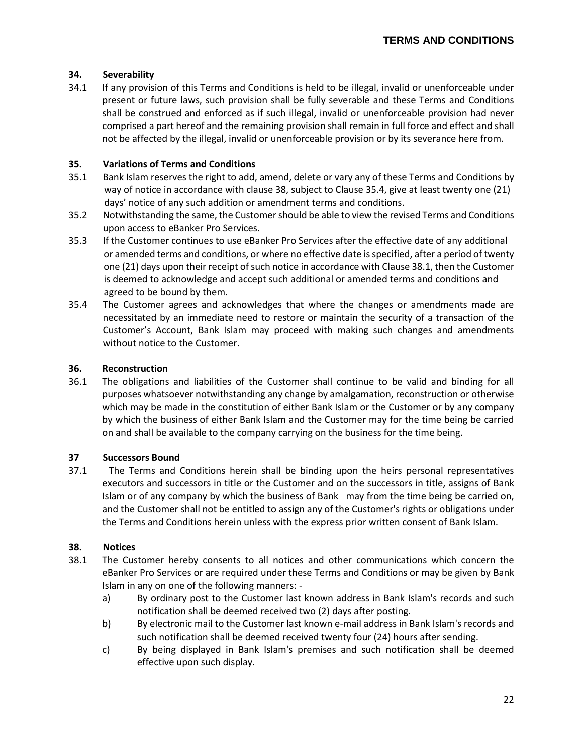## **34. Severability**

34.1 If any provision of this Terms and Conditions is held to be illegal, invalid or unenforceable under present or future laws, such provision shall be fully severable and these Terms and Conditions shall be construed and enforced as if such illegal, invalid or unenforceable provision had never comprised a part hereof and the remaining provision shall remain in full force and effect and shall not be affected by the illegal, invalid or unenforceable provision or by its severance here from.

### **35. Variations of Terms and Conditions**

- 35.1 Bank Islam reserves the right to add, amend, delete or vary any of these Terms and Conditions by way of notice in accordance with clause 38, subject to Clause 35.4, give at least twenty one (21) days' notice of any such addition or amendment terms and conditions.
- 35.2 Notwithstanding the same, the Customer should be able to view the revised Terms and Conditions upon access to eBanker Pro Services.
- 35.3 If the Customer continues to use eBanker Pro Services after the effective date of any additional or amended terms and conditions, or where no effective date is specified, after a period of twenty one (21) days upon their receipt of such notice in accordance with Clause 38.1, then the Customer is deemed to acknowledge and accept such additional or amended terms and conditions and agreed to be bound by them.
- 35.4 The Customer agrees and acknowledges that where the changes or amendments made are necessitated by an immediate need to restore or maintain the security of a transaction of the Customer's Account, Bank Islam may proceed with making such changes and amendments without notice to the Customer.

### **36. Reconstruction**

36.1 The obligations and liabilities of the Customer shall continue to be valid and binding for all purposes whatsoever notwithstanding any change by amalgamation, reconstruction or otherwise which may be made in the constitution of either Bank Islam or the Customer or by any company by which the business of either Bank Islam and the Customer may for the time being be carried on and shall be available to the company carrying on the business for the time being.

### **37 Successors Bound**

37.1 The Terms and Conditions herein shall be binding upon the heirs personal representatives executors and successors in title or the Customer and on the successors in title, assigns of Bank Islam or of any company by which the business of Bank may from the time being be carried on, and the Customer shall not be entitled to assign any of the Customer's rights or obligations under the Terms and Conditions herein unless with the express prior written consent of Bank Islam.

# **38. Notices**

- 38.1 The Customer hereby consents to all notices and other communications which concern the eBanker Pro Services or are required under these Terms and Conditions or may be given by Bank Islam in any on one of the following manners:
	- a) By ordinary post to the Customer last known address in Bank Islam's records and such notification shall be deemed received two (2) days after posting.
	- b) By electronic mail to the Customer last known e-mail address in Bank Islam's records and such notification shall be deemed received twenty four (24) hours after sending.
	- c) By being displayed in Bank Islam's premises and such notification shall be deemed effective upon such display.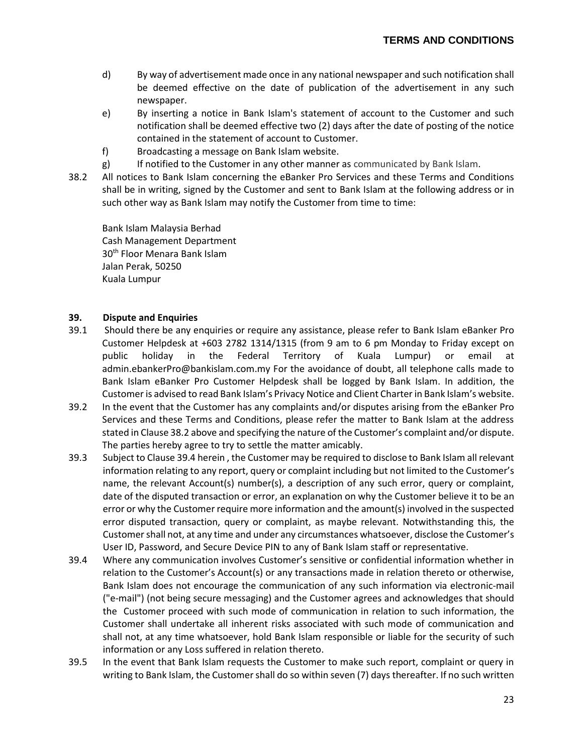- d) By way of advertisement made once in any national newspaper and such notification shall be deemed effective on the date of publication of the advertisement in any such newspaper.
- e) By inserting a notice in Bank Islam's statement of account to the Customer and such notification shall be deemed effective two (2) days after the date of posting of the notice contained in the statement of account to Customer.
- f) Broadcasting a message on Bank Islam website.
- g) If notified to the Customer in any other manner as communicated by Bank Islam.
- 38.2 All notices to Bank Islam concerning the eBanker Pro Services and these Terms and Conditions shall be in writing, signed by the Customer and sent to Bank Islam at the following address or in such other way as Bank Islam may notify the Customer from time to time:

Bank Islam Malaysia Berhad Cash Management Department 30th Floor Menara Bank Islam Jalan Perak, 50250 Kuala Lumpur

### **39. Dispute and Enquiries**

- 39.1 Should there be any enquiries or require any assistance, please refer to Bank Islam eBanker Pro Customer Helpdesk at +603 2782 1314/1315 (from 9 am to 6 pm Monday to Friday except on public holiday in the Federal Territory of Kuala Lumpur) or email at [admin.ebankerPro@bankislam.com.my](mailto:admin.ebankerPro@bankislam.com.my) For the avoidance of doubt, all telephone calls made to Bank Islam eBanker Pro Customer Helpdesk shall be logged by Bank Islam. In addition, the Customer is advised to read Bank Islam's Privacy Notice and Client Charter in Bank Islam's website.
- 39.2 In the event that the Customer has any complaints and/or disputes arising from the eBanker Pro Services and these Terms and Conditions, please refer the matter to Bank Islam at the address stated in Clause 38.2 above and specifying the nature of the Customer's complaint and/or dispute. The parties hereby agree to try to settle the matter amicably.
- 39.3 Subject to Clause 39.4 herein , the Customer may be required to disclose to Bank Islam all relevant information relating to any report, query or complaint including but not limited to the Customer's name, the relevant Account(s) number(s), a description of any such error, query or complaint, date of the disputed transaction or error, an explanation on why the Customer believe it to be an error or why the Customer require more information and the amount(s) involved in the suspected error disputed transaction, query or complaint, as maybe relevant. Notwithstanding this, the Customer shall not, at any time and under any circumstances whatsoever, disclose the Customer's User ID, Password, and Secure Device PIN to any of Bank Islam staff or representative.
- 39.4 Where any communication involves Customer's sensitive or confidential information whether in relation to the Customer's Account(s) or any transactions made in relation thereto or otherwise, Bank Islam does not encourage the communication of any such information via electronic-mail ("e-mail") (not being secure messaging) and the Customer agrees and acknowledges that should the Customer proceed with such mode of communication in relation to such information, the Customer shall undertake all inherent risks associated with such mode of communication and shall not, at any time whatsoever, hold Bank Islam responsible or liable for the security of such information or any Loss suffered in relation thereto.
- 39.5 In the event that Bank Islam requests the Customer to make such report, complaint or query in writing to Bank Islam, the Customer shall do so within seven (7) days thereafter. If no such written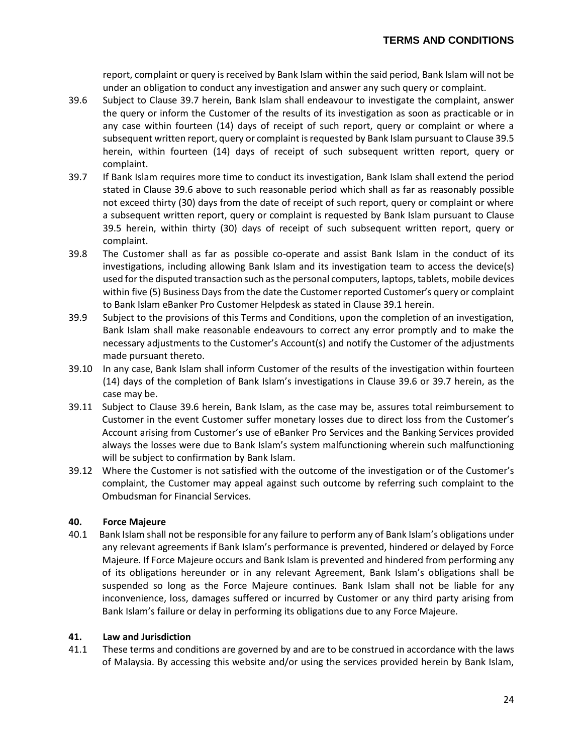report, complaint or query is received by Bank Islam within the said period, Bank Islam will not be under an obligation to conduct any investigation and answer any such query or complaint.

- 39.6 Subject to Clause 39.7 herein, Bank Islam shall endeavour to investigate the complaint, answer the query or inform the Customer of the results of its investigation as soon as practicable or in any case within fourteen (14) days of receipt of such report, query or complaint or where a subsequent written report, query or complaint is requested by Bank Islam pursuant to Clause 39.5 herein, within fourteen (14) days of receipt of such subsequent written report, query or complaint.
- 39.7 If Bank Islam requires more time to conduct its investigation, Bank Islam shall extend the period stated in Clause 39.6 above to such reasonable period which shall as far as reasonably possible not exceed thirty (30) days from the date of receipt of such report, query or complaint or where a subsequent written report, query or complaint is requested by Bank Islam pursuant to Clause 39.5 herein, within thirty (30) days of receipt of such subsequent written report, query or complaint.
- 39.8 The Customer shall as far as possible co-operate and assist Bank Islam in the conduct of its investigations, including allowing Bank Islam and its investigation team to access the device(s) used for the disputed transaction such as the personal computers, laptops, tablets, mobile devices within five (5) Business Days from the date the Customer reported Customer's query or complaint to Bank Islam eBanker Pro Customer Helpdesk as stated in Clause 39.1 herein.
- 39.9 Subject to the provisions of this Terms and Conditions, upon the completion of an investigation, Bank Islam shall make reasonable endeavours to correct any error promptly and to make the necessary adjustments to the Customer's Account(s) and notify the Customer of the adjustments made pursuant thereto.
- 39.10 In any case, Bank Islam shall inform Customer of the results of the investigation within fourteen (14) days of the completion of Bank Islam's investigations in Clause 39.6 or 39.7 herein, as the case may be.
- 39.11 Subject to Clause 39.6 herein, Bank Islam, as the case may be, assures total reimbursement to Customer in the event Customer suffer monetary losses due to direct loss from the Customer's Account arising from Customer's use of eBanker Pro Services and the Banking Services provided always the losses were due to Bank Islam's system malfunctioning wherein such malfunctioning will be subject to confirmation by Bank Islam.
- 39.12 Where the Customer is not satisfied with the outcome of the investigation or of the Customer's complaint, the Customer may appeal against such outcome by referring such complaint to the Ombudsman for Financial Services.

### **40. Force Majeure**

40.1 Bank Islam shall not be responsible for any failure to perform any of Bank Islam's obligations under any relevant agreements if Bank Islam's performance is prevented, hindered or delayed by Force Majeure. If Force Majeure occurs and Bank Islam is prevented and hindered from performing any of its obligations hereunder or in any relevant Agreement, Bank Islam's obligations shall be suspended so long as the Force Majeure continues. Bank Islam shall not be liable for any inconvenience, loss, damages suffered or incurred by Customer or any third party arising from Bank Islam's failure or delay in performing its obligations due to any Force Majeure.

#### **41. Law and Jurisdiction**

41.1 These terms and conditions are governed by and are to be construed in accordance with the laws of Malaysia. By accessing this website and/or using the services provided herein by Bank Islam,